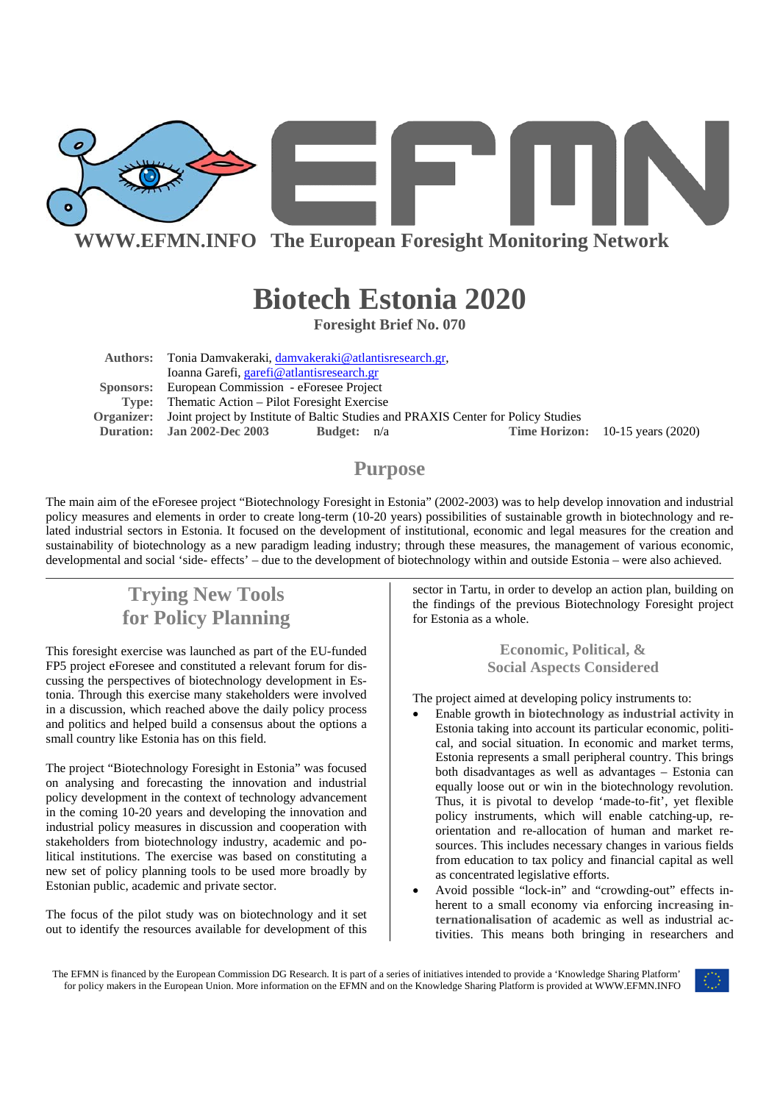

**WWW.EFMN.INFO The European Foresight Monitoring Network**

# **Biotech Estonia 2020**

**Foresight Brief No. 070** 

**Authors:** Tonia Damvakeraki, damvakeraki@atlantisresearch.gr, Ioanna Garefi, garefi@atlantisresearch.gr  **Sponsors:** European Commission - eForesee Project **Type:** Thematic Action – Pilot Foresight Exercise **Organizer:** Joint project by Institute of Baltic Studies and PRAXIS Center for Policy Studies **Duration: Jan 2002-Dec 2003 Budget:** n/a **Time Horizon:** 10-15 years (2020)

### **Purpose**

The main aim of the eForesee project "Biotechnology Foresight in Estonia" (2002-2003) was to help develop innovation and industrial policy measures and elements in order to create long-term (10-20 years) possibilities of sustainable growth in biotechnology and related industrial sectors in Estonia. It focused on the development of institutional, economic and legal measures for the creation and sustainability of biotechnology as a new paradigm leading industry; through these measures, the management of various economic, developmental and social 'side- effects' – due to the development of biotechnology within and outside Estonia – were also achieved.

# **Trying New Tools for Policy Planning**

This foresight exercise was launched as part of the EU-funded FP5 project eForesee and constituted a relevant forum for discussing the perspectives of biotechnology development in Estonia. Through this exercise many stakeholders were involved in a discussion, which reached above the daily policy process and politics and helped build a consensus about the options a small country like Estonia has on this field.

The project "Biotechnology Foresight in Estonia" was focused on analysing and forecasting the innovation and industrial policy development in the context of technology advancement in the coming 10-20 years and developing the innovation and industrial policy measures in discussion and cooperation with stakeholders from biotechnology industry, academic and political institutions. The exercise was based on constituting a new set of policy planning tools to be used more broadly by Estonian public, academic and private sector.

The focus of the pilot study was on biotechnology and it set out to identify the resources available for development of this sector in Tartu, in order to develop an action plan, building on the findings of the previous Biotechnology Foresight project for Estonia as a whole.

> **Economic, Political, & Social Aspects Considered**

The project aimed at developing policy instruments to:

- Enable growth **in biotechnology as industrial activity** in Estonia taking into account its particular economic, political, and social situation. In economic and market terms, Estonia represents a small peripheral country. This brings both disadvantages as well as advantages – Estonia can equally loose out or win in the biotechnology revolution. Thus, it is pivotal to develop 'made-to-fit', yet flexible policy instruments, which will enable catching-up, reorientation and re-allocation of human and market resources. This includes necessary changes in various fields from education to tax policy and financial capital as well as concentrated legislative efforts.
- Avoid possible "lock-in" and "crowding-out" effects inherent to a small economy via enforcing **increasing internationalisation** of academic as well as industrial activities. This means both bringing in researchers and

The EFMN is financed by the European Commission DG Research. It is part of a series of initiatives intended to provide a 'Knowledge Sharing Platform' for policy makers in the European Union. More information on the EFMN and on the Knowledge Sharing Platform is provided at WWW.EFMN.INFO

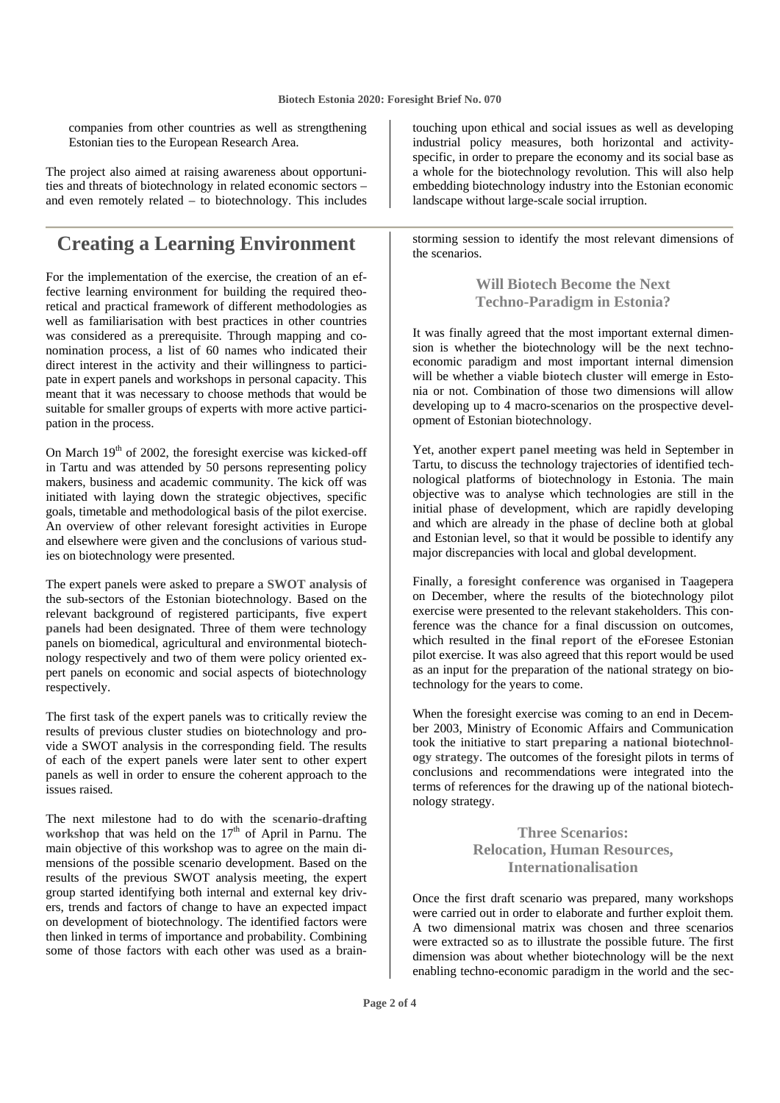companies from other countries as well as strengthening Estonian ties to the European Research Area.

The project also aimed at raising awareness about opportunities and threats of biotechnology in related economic sectors – and even remotely related – to biotechnology. This includes

### **Creating a Learning Environment**

For the implementation of the exercise, the creation of an effective learning environment for building the required theoretical and practical framework of different methodologies as well as familiarisation with best practices in other countries was considered as a prerequisite. Through mapping and conomination process, a list of 60 names who indicated their direct interest in the activity and their willingness to participate in expert panels and workshops in personal capacity. This meant that it was necessary to choose methods that would be suitable for smaller groups of experts with more active participation in the process.

On March 19<sup>th</sup> of 2002, the foresight exercise was kicked-off in Tartu and was attended by 50 persons representing policy makers, business and academic community. The kick off was initiated with laying down the strategic objectives, specific goals, timetable and methodological basis of the pilot exercise. An overview of other relevant foresight activities in Europe and elsewhere were given and the conclusions of various studies on biotechnology were presented.

The expert panels were asked to prepare a **SWOT analysis** of the sub-sectors of the Estonian biotechnology. Based on the relevant background of registered participants, **five expert panels** had been designated. Three of them were technology panels on biomedical, agricultural and environmental biotechnology respectively and two of them were policy oriented expert panels on economic and social aspects of biotechnology respectively.

The first task of the expert panels was to critically review the results of previous cluster studies on biotechnology and provide a SWOT analysis in the corresponding field. The results of each of the expert panels were later sent to other expert panels as well in order to ensure the coherent approach to the issues raised.

The next milestone had to do with the **scenario-drafting**  workshop that was held on the 17<sup>th</sup> of April in Parnu. The main objective of this workshop was to agree on the main dimensions of the possible scenario development. Based on the results of the previous SWOT analysis meeting, the expert group started identifying both internal and external key drivers, trends and factors of change to have an expected impact on development of biotechnology. The identified factors were then linked in terms of importance and probability. Combining some of those factors with each other was used as a brain-

touching upon ethical and social issues as well as developing industrial policy measures, both horizontal and activityspecific, in order to prepare the economy and its social base as a whole for the biotechnology revolution. This will also help embedding biotechnology industry into the Estonian economic landscape without large-scale social irruption.

storming session to identify the most relevant dimensions of the scenarios.

> **Will Biotech Become the Next Techno-Paradigm in Estonia?**

It was finally agreed that the most important external dimension is whether the biotechnology will be the next technoeconomic paradigm and most important internal dimension will be whether a viable **biotech cluster** will emerge in Estonia or not. Combination of those two dimensions will allow developing up to 4 macro-scenarios on the prospective development of Estonian biotechnology.

Yet, another **expert panel meeting** was held in September in Tartu, to discuss the technology trajectories of identified technological platforms of biotechnology in Estonia. The main objective was to analyse which technologies are still in the initial phase of development, which are rapidly developing and which are already in the phase of decline both at global and Estonian level, so that it would be possible to identify any major discrepancies with local and global development.

Finally, a **foresight conference** was organised in Taagepera on December, where the results of the biotechnology pilot exercise were presented to the relevant stakeholders. This conference was the chance for a final discussion on outcomes, which resulted in the **final report** of the eForesee Estonian pilot exercise. It was also agreed that this report would be used as an input for the preparation of the national strategy on biotechnology for the years to come.

When the foresight exercise was coming to an end in December 2003, Ministry of Economic Affairs and Communication took the initiative to start **preparing a national biotechnology strategy**. The outcomes of the foresight pilots in terms of conclusions and recommendations were integrated into the terms of references for the drawing up of the national biotechnology strategy.

### **Three Scenarios: Relocation, Human Resources, Internationalisation**

Once the first draft scenario was prepared, many workshops were carried out in order to elaborate and further exploit them. A two dimensional matrix was chosen and three scenarios were extracted so as to illustrate the possible future. The first dimension was about whether biotechnology will be the next enabling techno-economic paradigm in the world and the sec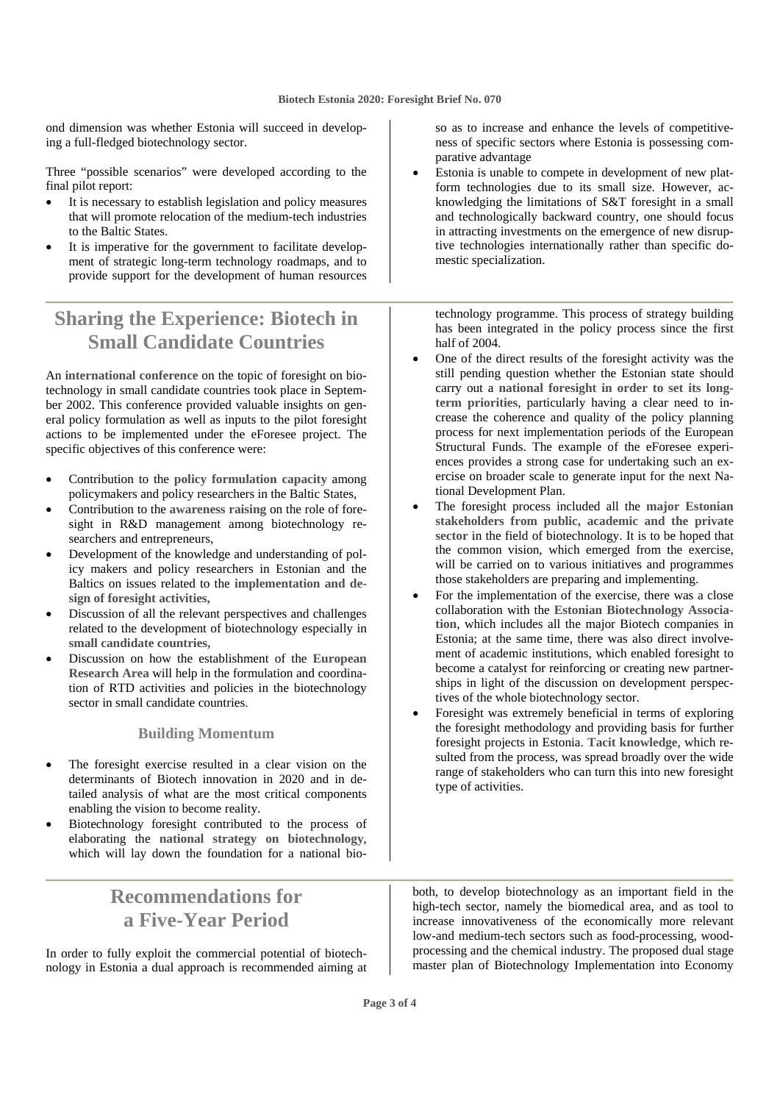ond dimension was whether Estonia will succeed in developing a full-fledged biotechnology sector.

Three "possible scenarios" were developed according to the final pilot report:

- It is necessary to establish legislation and policy measures that will promote relocation of the medium-tech industries to the Baltic States.
- It is imperative for the government to facilitate development of strategic long-term technology roadmaps, and to provide support for the development of human resources

### **Sharing the Experience: Biotech in Small Candidate Countries**

An **international conference** on the topic of foresight on biotechnology in small candidate countries took place in September 2002. This conference provided valuable insights on general policy formulation as well as inputs to the pilot foresight actions to be implemented under the eForesee project. The specific objectives of this conference were:

- Contribution to the **policy formulation capacity** among policymakers and policy researchers in the Baltic States,
- Contribution to the **awareness raising** on the role of foresight in R&D management among biotechnology researchers and entrepreneurs,
- Development of the knowledge and understanding of policy makers and policy researchers in Estonian and the Baltics on issues related to the **implementation and design of foresight activities,**
- Discussion of all the relevant perspectives and challenges related to the development of biotechnology especially in **small candidate countries,**
- Discussion on how the establishment of the **European Research Area** will help in the formulation and coordination of RTD activities and policies in the biotechnology sector in small candidate countries.

#### **Building Momentum**

- The foresight exercise resulted in a clear vision on the determinants of Biotech innovation in 2020 and in detailed analysis of what are the most critical components enabling the vision to become reality.
- Biotechnology foresight contributed to the process of elaborating the **national strategy on biotechnology**, which will lay down the foundation for a national bio-

### **Recommendations for a Five-Year Period**

In order to fully exploit the commercial potential of biotechnology in Estonia a dual approach is recommended aiming at so as to increase and enhance the levels of competitiveness of specific sectors where Estonia is possessing comparative advantage

• Estonia is unable to compete in development of new platform technologies due to its small size. However, acknowledging the limitations of S&T foresight in a small and technologically backward country, one should focus in attracting investments on the emergence of new disruptive technologies internationally rather than specific domestic specialization.

technology programme. This process of strategy building has been integrated in the policy process since the first half of 2004.

- One of the direct results of the foresight activity was the still pending question whether the Estonian state should carry out a **national foresight in order to set its longterm priorities**, particularly having a clear need to increase the coherence and quality of the policy planning process for next implementation periods of the European Structural Funds. The example of the eForesee experiences provides a strong case for undertaking such an exercise on broader scale to generate input for the next National Development Plan.
- The foresight process included all the **major Estonian stakeholders from public, academic and the private sector** in the field of biotechnology. It is to be hoped that the common vision, which emerged from the exercise, will be carried on to various initiatives and programmes those stakeholders are preparing and implementing.
- For the implementation of the exercise, there was a close collaboration with the **Estonian Biotechnology Association**, which includes all the major Biotech companies in Estonia; at the same time, there was also direct involvement of academic institutions, which enabled foresight to become a catalyst for reinforcing or creating new partnerships in light of the discussion on development perspectives of the whole biotechnology sector.
- Foresight was extremely beneficial in terms of exploring the foresight methodology and providing basis for further foresight projects in Estonia. **Tacit knowledge**, which resulted from the process, was spread broadly over the wide range of stakeholders who can turn this into new foresight type of activities.

both, to develop biotechnology as an important field in the high-tech sector, namely the biomedical area, and as tool to increase innovativeness of the economically more relevant low-and medium-tech sectors such as food-processing, woodprocessing and the chemical industry. The proposed dual stage master plan of Biotechnology Implementation into Economy